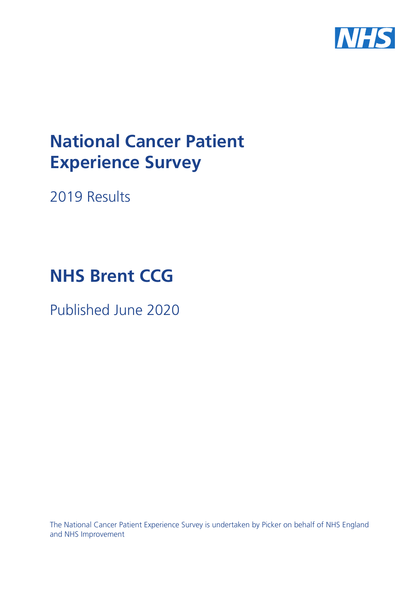

# **National Cancer Patient Experience Survey**

2019 Results

# **NHS Brent CCG**

Published June 2020

The National Cancer Patient Experience Survey is undertaken by Picker on behalf of NHS England and NHS Improvement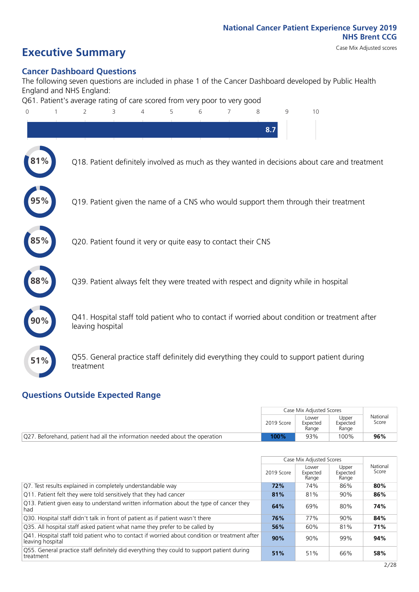### **Executive Summary** Case Mix Adjusted scores

### **Cancer Dashboard Questions**

The following seven questions are included in phase 1 of the Cancer Dashboard developed by Public Health England and NHS England:

Q61. Patient's average rating of care scored from very poor to very good

| 8.7                                                                                                               |  |
|-------------------------------------------------------------------------------------------------------------------|--|
|                                                                                                                   |  |
| $81\%$<br>Q18. Patient definitely involved as much as they wanted in decisions about care and treatment           |  |
| Q19. Patient given the name of a CNS who would support them through their treatment                               |  |
| Q20. Patient found it very or quite easy to contact their CNS                                                     |  |
| 88%<br>Q39. Patient always felt they were treated with respect and dignity while in hospital                      |  |
| Q41. Hospital staff told patient who to contact if worried about condition or treatment after<br>leaving hospital |  |
| Q55. General practice staff definitely did everything they could to support patient during<br>51%<br>treatment    |  |

### **Questions Outside Expected Range**

|                                                                             |            | Case Mix Adjusted Scores   |                            |                   |
|-----------------------------------------------------------------------------|------------|----------------------------|----------------------------|-------------------|
|                                                                             | 2019 Score | Lower<br>Expected<br>Range | Upper<br>Expected<br>Range | National<br>Score |
| Q27. Beforehand, patient had all the information needed about the operation | 100%       | 93%                        | 100%                       | 96%               |

|                                                                                                                   |            | Case Mix Adjusted Scores   |                            |                   |
|-------------------------------------------------------------------------------------------------------------------|------------|----------------------------|----------------------------|-------------------|
|                                                                                                                   | 2019 Score | Lower<br>Expected<br>Range | Upper<br>Expected<br>Range | National<br>Score |
| Q7. Test results explained in completely understandable way                                                       | 72%        | 74%                        | 86%                        | 80%               |
| Q11. Patient felt they were told sensitively that they had cancer                                                 | 81%        | 81%                        | 90%                        | 86%               |
| Q13. Patient given easy to understand written information about the type of cancer they<br>had                    | 64%        | 69%                        | 80%                        | 74%               |
| Q30. Hospital staff didn't talk in front of patient as if patient wasn't there                                    | 76%        | 77%                        | 90%                        | 84%               |
| Q35. All hospital staff asked patient what name they prefer to be called by                                       | 56%        | 60%                        | 81%                        | 71%               |
| Q41. Hospital staff told patient who to contact if worried about condition or treatment after<br>leaving hospital | 90%        | 90%                        | 99%                        | 94%               |
| Q55. General practice staff definitely did everything they could to support patient during<br>treatment           | 51%        | 51%                        | 66%                        | 58%               |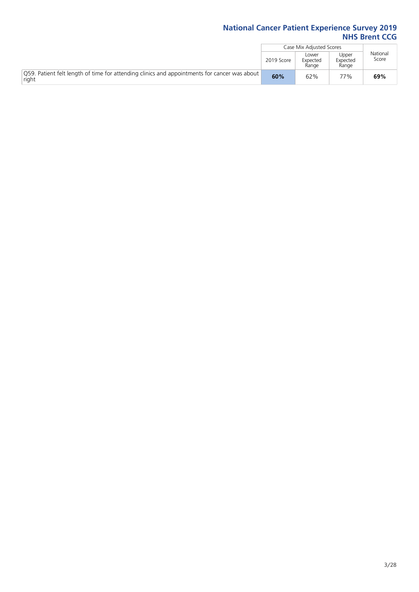|                                                                                                       |            | Case Mix Adjusted Scores   |                            |                   |
|-------------------------------------------------------------------------------------------------------|------------|----------------------------|----------------------------|-------------------|
|                                                                                                       | 2019 Score | Lower<br>Expected<br>Range | Upper<br>Expected<br>Range | National<br>Score |
| O59. Patient felt length of time for attending clinics and appointments for cancer was about<br>right | 60%        | 62%                        | 77%                        | 69%               |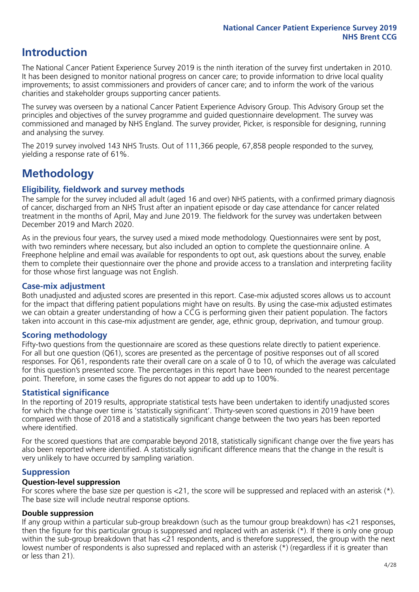### **Introduction**

The National Cancer Patient Experience Survey 2019 is the ninth iteration of the survey first undertaken in 2010. It has been designed to monitor national progress on cancer care; to provide information to drive local quality improvements; to assist commissioners and providers of cancer care; and to inform the work of the various charities and stakeholder groups supporting cancer patients.

The survey was overseen by a national Cancer Patient Experience Advisory Group. This Advisory Group set the principles and objectives of the survey programme and guided questionnaire development. The survey was commissioned and managed by NHS England. The survey provider, Picker, is responsible for designing, running and analysing the survey.

The 2019 survey involved 143 NHS Trusts. Out of 111,366 people, 67,858 people responded to the survey, yielding a response rate of 61%.

### **Methodology**

### **Eligibility, eldwork and survey methods**

The sample for the survey included all adult (aged 16 and over) NHS patients, with a confirmed primary diagnosis of cancer, discharged from an NHS Trust after an inpatient episode or day case attendance for cancer related treatment in the months of April, May and June 2019. The fieldwork for the survey was undertaken between December 2019 and March 2020.

As in the previous four years, the survey used a mixed mode methodology. Questionnaires were sent by post, with two reminders where necessary, but also included an option to complete the questionnaire online. A Freephone helpline and email was available for respondents to opt out, ask questions about the survey, enable them to complete their questionnaire over the phone and provide access to a translation and interpreting facility for those whose first language was not English.

### **Case-mix adjustment**

Both unadjusted and adjusted scores are presented in this report. Case-mix adjusted scores allows us to account for the impact that differing patient populations might have on results. By using the case-mix adjusted estimates we can obtain a greater understanding of how a CCG is performing given their patient population. The factors taken into account in this case-mix adjustment are gender, age, ethnic group, deprivation, and tumour group.

### **Scoring methodology**

Fifty-two questions from the questionnaire are scored as these questions relate directly to patient experience. For all but one question (Q61), scores are presented as the percentage of positive responses out of all scored responses. For Q61, respondents rate their overall care on a scale of 0 to 10, of which the average was calculated for this question's presented score. The percentages in this report have been rounded to the nearest percentage point. Therefore, in some cases the figures do not appear to add up to 100%.

### **Statistical significance**

In the reporting of 2019 results, appropriate statistical tests have been undertaken to identify unadjusted scores for which the change over time is 'statistically significant'. Thirty-seven scored questions in 2019 have been compared with those of 2018 and a statistically significant change between the two years has been reported where identified.

For the scored questions that are comparable beyond 2018, statistically significant change over the five years has also been reported where identified. A statistically significant difference means that the change in the result is very unlikely to have occurred by sampling variation.

### **Suppression**

#### **Question-level suppression**

For scores where the base size per question is  $<$ 21, the score will be suppressed and replaced with an asterisk (\*). The base size will include neutral response options.

### **Double suppression**

If any group within a particular sub-group breakdown (such as the tumour group breakdown) has <21 responses, then the figure for this particular group is suppressed and replaced with an asterisk (\*). If there is only one group within the sub-group breakdown that has <21 respondents, and is therefore suppressed, the group with the next lowest number of respondents is also supressed and replaced with an asterisk (\*) (regardless if it is greater than or less than 21).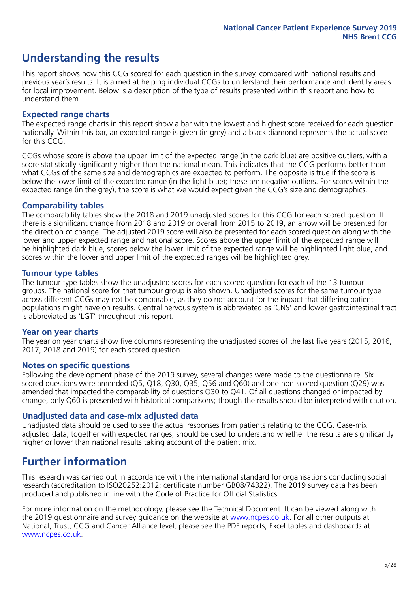### **Understanding the results**

This report shows how this CCG scored for each question in the survey, compared with national results and previous year's results. It is aimed at helping individual CCGs to understand their performance and identify areas for local improvement. Below is a description of the type of results presented within this report and how to understand them.

### **Expected range charts**

The expected range charts in this report show a bar with the lowest and highest score received for each question nationally. Within this bar, an expected range is given (in grey) and a black diamond represents the actual score for this CCG.

CCGs whose score is above the upper limit of the expected range (in the dark blue) are positive outliers, with a score statistically significantly higher than the national mean. This indicates that the CCG performs better than what CCGs of the same size and demographics are expected to perform. The opposite is true if the score is below the lower limit of the expected range (in the light blue); these are negative outliers. For scores within the expected range (in the grey), the score is what we would expect given the CCG's size and demographics.

### **Comparability tables**

The comparability tables show the 2018 and 2019 unadjusted scores for this CCG for each scored question. If there is a significant change from 2018 and 2019 or overall from 2015 to 2019, an arrow will be presented for the direction of change. The adjusted 2019 score will also be presented for each scored question along with the lower and upper expected range and national score. Scores above the upper limit of the expected range will be highlighted dark blue, scores below the lower limit of the expected range will be highlighted light blue, and scores within the lower and upper limit of the expected ranges will be highlighted grey.

### **Tumour type tables**

The tumour type tables show the unadjusted scores for each scored question for each of the 13 tumour groups. The national score for that tumour group is also shown. Unadjusted scores for the same tumour type across different CCGs may not be comparable, as they do not account for the impact that differing patient populations might have on results. Central nervous system is abbreviated as 'CNS' and lower gastrointestinal tract is abbreviated as 'LGT' throughout this report.

### **Year on year charts**

The year on year charts show five columns representing the unadjusted scores of the last five years (2015, 2016, 2017, 2018 and 2019) for each scored question.

#### **Notes on specific questions**

Following the development phase of the 2019 survey, several changes were made to the questionnaire. Six scored questions were amended (Q5, Q18, Q30, Q35, Q56 and Q60) and one non-scored question (Q29) was amended that impacted the comparability of questions Q30 to Q41. Of all questions changed or impacted by change, only Q60 is presented with historical comparisons; though the results should be interpreted with caution.

### **Unadjusted data and case-mix adjusted data**

Unadjusted data should be used to see the actual responses from patients relating to the CCG. Case-mix adjusted data, together with expected ranges, should be used to understand whether the results are significantly higher or lower than national results taking account of the patient mix.

### **Further information**

This research was carried out in accordance with the international standard for organisations conducting social research (accreditation to ISO20252:2012; certificate number GB08/74322). The 2019 survey data has been produced and published in line with the Code of Practice for Official Statistics.

For more information on the methodology, please see the Technical Document. It can be viewed along with the 2019 questionnaire and survey quidance on the website at [www.ncpes.co.uk](https://www.ncpes.co.uk/supporting-documents). For all other outputs at National, Trust, CCG and Cancer Alliance level, please see the PDF reports, Excel tables and dashboards at [www.ncpes.co.uk.](https://www.ncpes.co.uk/current-results)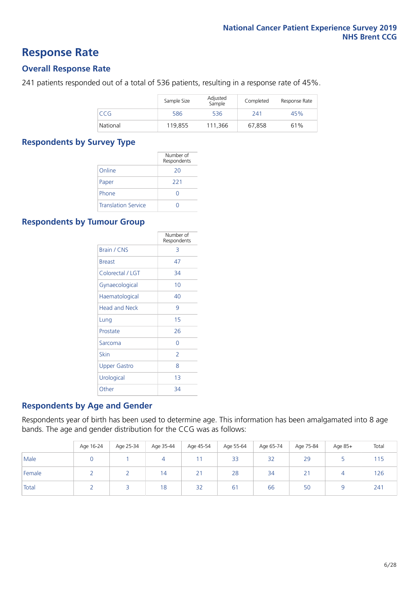### **Response Rate**

### **Overall Response Rate**

241 patients responded out of a total of 536 patients, resulting in a response rate of 45%.

|          | Sample Size | Adjusted<br>Sample | Completed | Response Rate |
|----------|-------------|--------------------|-----------|---------------|
| CCG.     | 586         | 536                | 241       | 45%           |
| National | 119.855     | 111.366            | 67.858    | 61%           |

### **Respondents by Survey Type**

|                            | Number of<br>Respondents |
|----------------------------|--------------------------|
| Online                     | 20                       |
| Paper                      | 221                      |
| Phone                      |                          |
| <b>Translation Service</b> |                          |

### **Respondents by Tumour Group**

|                      | Number of<br>Respondents |
|----------------------|--------------------------|
| Brain / CNS          | 3                        |
| <b>Breast</b>        | 47                       |
| Colorectal / LGT     | 34                       |
| Gynaecological       | 10                       |
| Haematological       | 40                       |
| <b>Head and Neck</b> | 9                        |
| Lung                 | 15                       |
| Prostate             | 26                       |
| Sarcoma              | Ω                        |
| Skin                 | $\mathcal{P}$            |
| <b>Upper Gastro</b>  | 8                        |
| Urological           | 1 <sub>3</sub>           |
| Other                | 34                       |

### **Respondents by Age and Gender**

Respondents year of birth has been used to determine age. This information has been amalgamated into 8 age bands. The age and gender distribution for the CCG was as follows:

|        | Age 16-24 | Age 25-34 | Age 35-44 | Age 45-54 | Age 55-64 | Age 65-74 | Age 75-84   | Age 85+ | Total |
|--------|-----------|-----------|-----------|-----------|-----------|-----------|-------------|---------|-------|
| Male   |           |           |           |           | 33        | 32        | 29          |         | 115   |
| Female |           |           | 14        | 21        | 28        | 34        | $\sim$<br>∠ |         | 126   |
| Total  |           |           | 18        | 32        | 61        | 66        | 50          |         | 241   |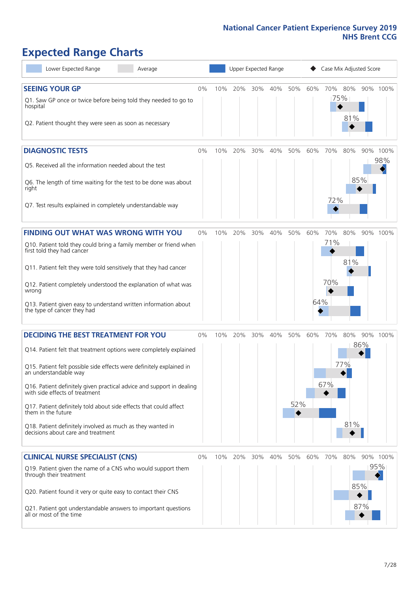# **Expected Range Charts**

| Lower Expected Range<br>Average                                                                                                                                                                                                                                                                                                                                                                                                                                                                                             |       |     | Upper Expected Range |     |     |            |            |                   | Case Mix Adjusted Score |                 |
|-----------------------------------------------------------------------------------------------------------------------------------------------------------------------------------------------------------------------------------------------------------------------------------------------------------------------------------------------------------------------------------------------------------------------------------------------------------------------------------------------------------------------------|-------|-----|----------------------|-----|-----|------------|------------|-------------------|-------------------------|-----------------|
| <b>SEEING YOUR GP</b><br>Q1. Saw GP once or twice before being told they needed to go to<br>hospital<br>Q2. Patient thought they were seen as soon as necessary                                                                                                                                                                                                                                                                                                                                                             | $0\%$ | 10% | 20%                  | 30% | 40% | 50%        | 60%        | 70%<br>75%        | 80%<br>81%              | 90% 100%        |
| <b>DIAGNOSTIC TESTS</b><br>Q5. Received all the information needed about the test<br>Q6. The length of time waiting for the test to be done was about<br>right<br>Q7. Test results explained in completely understandable way                                                                                                                                                                                                                                                                                               | 0%    | 10% | 20%                  | 30% | 40% | 50%        | 60%        | 70%<br>72%        | 80%<br>85%              | 90% 100%<br>98% |
| <b>FINDING OUT WHAT WAS WRONG WITH YOU</b><br>Q10. Patient told they could bring a family member or friend when<br>first told they had cancer<br>Q11. Patient felt they were told sensitively that they had cancer<br>Q12. Patient completely understood the explanation of what was<br>wrong<br>Q13. Patient given easy to understand written information about<br>the type of cancer they had                                                                                                                             | 0%    | 10% | 20%                  | 30% | 40% | 50%        | 60%<br>64% | 70%<br>71%<br>70% | 80%<br>90%<br>81%       | 100%            |
| <b>DECIDING THE BEST TREATMENT FOR YOU</b><br>Q14. Patient felt that treatment options were completely explained<br>Q15. Patient felt possible side effects were definitely explained in<br>an understandable way<br>Q16. Patient definitely given practical advice and support in dealing<br>with side effects of treatment<br>Q17. Patient definitely told about side effects that could affect<br>them in the future<br>Q18. Patient definitely involved as much as they wanted in<br>decisions about care and treatment | 0%    | 10% | 20%                  | 30% | 40% | 50%<br>52% | 60%        | 70%<br>77%<br>67% | 80%<br>86%<br>81%       | 90% 100%        |
| <b>CLINICAL NURSE SPECIALIST (CNS)</b><br>Q19. Patient given the name of a CNS who would support them<br>through their treatment<br>Q20. Patient found it very or quite easy to contact their CNS<br>Q21. Patient got understandable answers to important questions<br>all or most of the time                                                                                                                                                                                                                              | 0%    | 10% | 20%                  | 30% | 40% | 50%        | 60%        | 70% 80%           | 85%<br>87%              | 90% 100%<br>95% |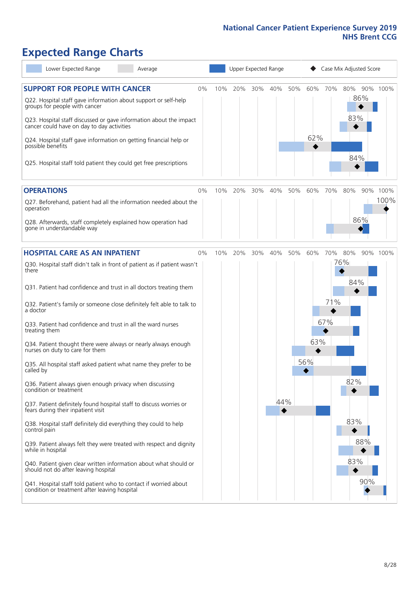### **Expected Range Charts**

| Lower Expected Range<br>Average                                                                                                                                                                                 |    | Upper Expected Range |     |     |     |     |     | Case Mix Adjusted Score |                   |                  |  |
|-----------------------------------------------------------------------------------------------------------------------------------------------------------------------------------------------------------------|----|----------------------|-----|-----|-----|-----|-----|-------------------------|-------------------|------------------|--|
| <b>SUPPORT FOR PEOPLE WITH CANCER</b><br>Q22. Hospital staff gave information about support or self-help<br>groups for people with cancer<br>Q23. Hospital staff discussed or gave information about the impact | 0% | 10%                  | 20% | 30% | 40% | 50% | 60% | 70%                     | 80%<br>86%<br>83% | 90% 100%         |  |
| cancer could have on day to day activities<br>Q24. Hospital staff gave information on getting financial help or<br>possible benefits<br>Q25. Hospital staff told patient they could get free prescriptions      |    |                      |     |     |     |     | 62% |                         | 84%               |                  |  |
| <b>OPERATIONS</b>                                                                                                                                                                                               | 0% | 10%                  | 20% | 30% | 40% | 50% | 60% | 70%                     | 80%               | 90% 100%<br>100% |  |
| Q27. Beforehand, patient had all the information needed about the<br>operation<br>Q28. Afterwards, staff completely explained how operation had<br>gone in understandable way                                   |    |                      |     |     |     |     |     |                         | 86%               |                  |  |
| <b>HOSPITAL CARE AS AN INPATIENT</b>                                                                                                                                                                            | 0% | 10%                  | 20% | 30% | 40% | 50% | 60% | 70%                     | 80%               | 90% 100%         |  |
| Q30. Hospital staff didn't talk in front of patient as if patient wasn't<br>there                                                                                                                               |    |                      |     |     |     |     |     |                         | 76%               |                  |  |
| Q31. Patient had confidence and trust in all doctors treating them                                                                                                                                              |    |                      |     |     |     |     |     |                         | 84%               |                  |  |
| Q32. Patient's family or someone close definitely felt able to talk to<br>a doctor                                                                                                                              |    |                      |     |     |     |     |     | 71%                     |                   |                  |  |
| Q33. Patient had confidence and trust in all the ward nurses<br>treating them                                                                                                                                   |    |                      |     |     |     |     |     | 67%                     |                   |                  |  |
| Q34. Patient thought there were always or nearly always enough<br>nurses on duty to care for them                                                                                                               |    |                      |     |     |     |     | 63% |                         |                   |                  |  |
| Q35. All hospital staff asked patient what name they prefer to be<br>called by                                                                                                                                  |    |                      |     |     |     |     | 56% |                         |                   |                  |  |
| Q36. Patient always given enough privacy when discussing<br>condition or treatment                                                                                                                              |    |                      |     |     |     |     |     |                         | 82%               |                  |  |
| Q37. Patient definitely found hospital staff to discuss worries or<br>fears during their inpatient visit                                                                                                        |    |                      |     |     | 44% |     |     |                         |                   |                  |  |
| Q38. Hospital staff definitely did everything they could to help<br>control pain                                                                                                                                |    |                      |     |     |     |     |     |                         | 83%               |                  |  |
| Q39. Patient always felt they were treated with respect and dignity<br>while in hospital                                                                                                                        |    |                      |     |     |     |     |     |                         | 88%               |                  |  |
| Q40. Patient given clear written information about what should or<br>should not do after leaving hospital                                                                                                       |    |                      |     |     |     |     |     |                         | 83%               |                  |  |
| Q41. Hospital staff told patient who to contact if worried about<br>condition or treatment after leaving hospital                                                                                               |    |                      |     |     |     |     |     |                         | 90%               |                  |  |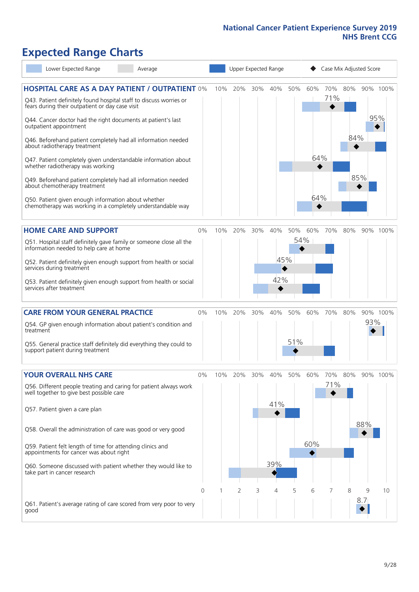## **Expected Range Charts**

| Lower Expected Range<br>Average                                                                                                                                                                                                                                                                                                                                                                                                                             |    | Upper Expected Range |     |     |                   |            |            | Case Mix Adjusted Score |            |                                    |                 |
|-------------------------------------------------------------------------------------------------------------------------------------------------------------------------------------------------------------------------------------------------------------------------------------------------------------------------------------------------------------------------------------------------------------------------------------------------------------|----|----------------------|-----|-----|-------------------|------------|------------|-------------------------|------------|------------------------------------|-----------------|
| <b>HOSPITAL CARE AS A DAY PATIENT / OUTPATIENT 0%</b><br>Q43. Patient definitely found hospital staff to discuss worries or<br>fears during their outpatient or day case visit<br>Q44. Cancer doctor had the right documents at patient's last<br>outpatient appointment<br>Q46. Beforehand patient completely had all information needed                                                                                                                   |    | 10%                  | 20% | 30% | 40%               | 50%        | 60%        | 70%<br>71%              | 80%<br>84% |                                    | 90% 100%<br>95% |
| about radiotherapy treatment<br>Q47. Patient completely given understandable information about<br>whether radiotherapy was working<br>Q49. Beforehand patient completely had all information needed<br>about chemotherapy treatment<br>Q50. Patient given enough information about whether<br>chemotherapy was working in a completely understandable way                                                                                                   |    |                      |     |     |                   |            | 64%<br>64% |                         |            | 85%                                |                 |
| <b>HOME CARE AND SUPPORT</b><br>Q51. Hospital staff definitely gave family or someone close all the<br>information needed to help care at home<br>Q52. Patient definitely given enough support from health or social<br>services during treatment<br>Q53. Patient definitely given enough support from health or social<br>services after treatment                                                                                                         | 0% | 10%                  | 20% | 30% | 40%<br>45%<br>42% | 50%<br>54% | 60%        | 70%                     | 80%        |                                    | 90% 100%        |
| <b>CARE FROM YOUR GENERAL PRACTICE</b><br>Q54. GP given enough information about patient's condition and<br>treatment<br>Q55. General practice staff definitely did everything they could to<br>support patient during treatment                                                                                                                                                                                                                            | 0% | 10%                  | 20% | 30% | 40%               | 50%<br>51% | 60%        | 70%                     | 80%        | 93%                                | 90% 100%        |
| <b>YOUR OVERALL NHS CARE</b><br>Q56. Different people treating and caring for patient always work<br>well together to give best possible care<br>Q57. Patient given a care plan<br>Q58. Overall the administration of care was good or very good<br>Q59. Patient felt length of time for attending clinics and<br>appointments for cancer was about right<br>Q60. Someone discussed with patient whether they would like to<br>take part in cancer research | 0% | 10%                  | 20% | 30% | 40%<br>41%<br>39% | 50%        | 60%<br>60% | 70%<br>71%              | 80%        | 88%                                | 90% 100%        |
| Q61. Patient's average rating of care scored from very poor to very<br>good                                                                                                                                                                                                                                                                                                                                                                                 | 0  |                      | 2   | 3   | 4                 | 5          | 6          | 7                       | 8          | $\overline{Q}$<br>8.7 <sub>1</sub> | 10              |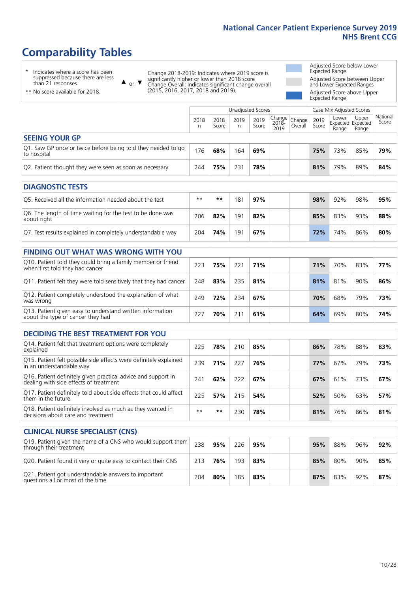### **Comparability Tables**

\* Indicates where a score has been suppressed because there are less than 21 responses.

\*\* No score available for 2018.

or  $\blacktriangledown$  $\blacktriangle$ 

Change 2018-2019: Indicates where 2019 score is significantly higher or lower than 2018 score Change Overall: Indicates significant change overall (2015, 2016, 2017, 2018 and 2019).

Adjusted Score below Lower Expected Range Adjusted Score between Upper and Lower Expected Ranges Adjusted Score above Upper

Expected Range

|                                                                             |           |               | Unadjusted Scores |               |                                |                   |               | Case Mix Adjusted Scores |                                     |                   |  |  |
|-----------------------------------------------------------------------------|-----------|---------------|-------------------|---------------|--------------------------------|-------------------|---------------|--------------------------|-------------------------------------|-------------------|--|--|
|                                                                             | 2018<br>n | 2018<br>Score | 2019<br>n.        | 2019<br>Score | <b>Change</b><br>2018-<br>2019 | Change<br>Overall | 2019<br>Score | Lower<br>Range           | Upper<br>Expected Expected<br>Range | National<br>Score |  |  |
| <b>SEEING YOUR GP</b>                                                       |           |               |                   |               |                                |                   |               |                          |                                     |                   |  |  |
| Q1. Saw GP once or twice before being told they needed to go<br>to hospital | 176       | 68%           | 164               | 69%           |                                |                   | 75%           | 73%                      | 85%                                 | 79%               |  |  |
| Q2. Patient thought they were seen as soon as necessary                     | 244       | 75%           | 231               | 78%           |                                |                   | 81%           | 79%                      | 89%                                 | 84%               |  |  |
|                                                                             |           |               |                   |               |                                |                   |               |                          |                                     |                   |  |  |
| <b>DIAGNOSTIC TESTS</b>                                                     |           |               |                   |               |                                |                   |               |                          |                                     |                   |  |  |
| O5. Received all the information needed about the test                      | $**$      | $***$         | 181               | 97%           |                                |                   | 98%           | 92%                      | 98%                                 | 95%               |  |  |
| Q6. The length of time waiting for the test to be done was<br>ahout right   | 206       | 82%           | 191               | 82%           |                                |                   | 85%           | 83%                      | 93%                                 | 88%               |  |  |

about right <sup>206</sup> **82%** <sup>191</sup> **82% 85%** 83% 93% **88%** Q7. Test results explained in completely understandable way 204 **74%** 191 **67% 72%** 74% 86% **80%**

| <b>FINDING OUT WHAT WAS WRONG WITH YOU</b>                                                      |     |     |     |     |     |     |     |     |
|-------------------------------------------------------------------------------------------------|-----|-----|-----|-----|-----|-----|-----|-----|
| Q10. Patient told they could bring a family member or friend<br>when first told they had cancer | 223 | 75% | 221 | 71% | 71% | 70% | 83% | 77% |
| Q11. Patient felt they were told sensitively that they had cancer                               | 248 | 83% | 235 | 81% | 81% | 81% | 90% | 86% |
| Q12. Patient completely understood the explanation of what<br>was wrong                         | 249 | 72% | 234 | 67% | 70% | 68% | 79% | 73% |
| Q13. Patient given easy to understand written information<br>about the type of cancer they had  | 227 | 70% | 211 | 61% | 64% | 69% | 80% | 74% |

| <b>DECIDING THE BEST TREATMENT FOR YOU</b>                                                              |      |     |     |     |     |     |     |     |
|---------------------------------------------------------------------------------------------------------|------|-----|-----|-----|-----|-----|-----|-----|
| Q14. Patient felt that treatment options were completely<br>explained                                   | 225  | 78% | 210 | 85% | 86% | 78% | 88% | 83% |
| Q15. Patient felt possible side effects were definitely explained<br>in an understandable way           | 239  | 71% | 227 | 76% | 77% | 67% | 79% | 73% |
| Q16. Patient definitely given practical advice and support in<br>dealing with side effects of treatment | 241  | 62% | 222 | 67% | 67% | 61% | 73% | 67% |
| Q17. Patient definitely told about side effects that could affect<br>them in the future                 | 225  | 57% | 215 | 54% | 52% | 50% | 63% | 57% |
| Q18. Patient definitely involved as much as they wanted in<br>decisions about care and treatment        | $**$ | **  | 230 | 78% | 81% | 76% | 86% | 81% |

| <b>CLINICAL NURSE SPECIALIST (CNS)</b>                                                    |     |     |     |     |  |     |     |     |     |
|-------------------------------------------------------------------------------------------|-----|-----|-----|-----|--|-----|-----|-----|-----|
| [Q19] Patient given the name of a CNS who would support them<br>through their treatment   | 238 | 95% | 226 | 95% |  | 95% | 88% | 96% | 92% |
| Q20. Patient found it very or quite easy to contact their CNS                             | 213 | 76% | 193 | 83% |  | 85% | 80% | 90% | 85% |
| Q21. Patient got understandable answers to important<br>questions all or most of the time | 204 | 80% | 185 | 83% |  | 87% | 83% | 92% | 87% |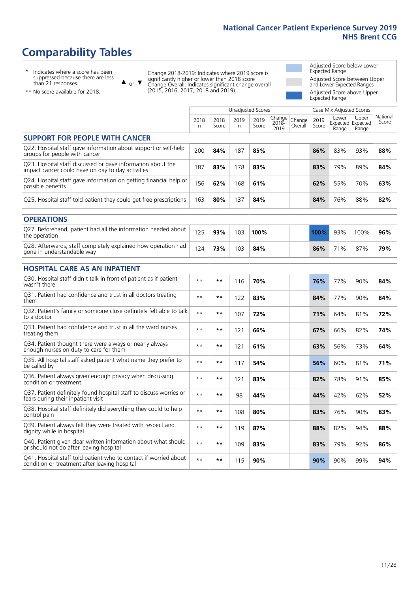### **Comparability Tables**

\* Indicates where a score has been suppressed because there are less than 21 responses.

\*\* No score available for 2018.

 $\triangle$  or  $\nabla$ 

Change 2018-2019: Indicates where 2019 score is significantly higher or lower than 2018 score Change Overall: Indicates significant change overall (2015, 2016, 2017, 2018 and 2019).

Adjusted Score below Lower Expected Range Adjusted Score between Upper and Lower Expected Ranges Adjusted Score above Upper Expected Range

|                                                                                                                   |              |               |            | <b>Unadjusted Scores</b> |                         |                   |               | Case Mix Adjusted Scores            |                |                   |
|-------------------------------------------------------------------------------------------------------------------|--------------|---------------|------------|--------------------------|-------------------------|-------------------|---------------|-------------------------------------|----------------|-------------------|
|                                                                                                                   | 2018<br>n    | 2018<br>Score | 2019<br>n. | 2019<br>Score            | Change<br>2018-<br>2019 | Change<br>Overall | 2019<br>Score | Lower<br>Expected Expected<br>Range | Upper<br>Range | National<br>Score |
| <b>SUPPORT FOR PEOPLE WITH CANCER</b>                                                                             |              |               |            |                          |                         |                   |               |                                     |                |                   |
| Q22. Hospital staff gave information about support or self-help<br>groups for people with cancer                  | 200          | 84%           | 187        | 85%                      |                         |                   | 86%           | 83%                                 | 93%            | 88%               |
| Q23. Hospital staff discussed or gave information about the<br>impact cancer could have on day to day activities  | 187          | 83%           | 178        | 83%                      |                         |                   | 83%           | 79%                                 | 89%            | 84%               |
| Q24. Hospital staff gave information on getting financial help or<br>possible benefits                            | 156          | 62%           | 168        | 61%                      |                         |                   | 62%           | 55%                                 | 70%            | 63%               |
| Q25. Hospital staff told patient they could get free prescriptions                                                | 163          | 80%           | 137        | 84%                      |                         |                   | 84%           | 76%                                 | 88%            | 82%               |
| <b>OPERATIONS</b>                                                                                                 |              |               |            |                          |                         |                   |               |                                     |                |                   |
| Q27. Beforehand, patient had all the information needed about<br>the operation                                    | 125          | 93%           | 103        | 100%                     |                         |                   | 100%          | 93%                                 | 100%           | 96%               |
| Q28. Afterwards, staff completely explained how operation had<br>gone in understandable way                       | 124          | 73%           | 103        | 84%                      |                         |                   | 86%           | 71%                                 | 87%            | 79%               |
| <b>HOSPITAL CARE AS AN INPATIENT</b>                                                                              |              |               |            |                          |                         |                   |               |                                     |                |                   |
| Q30. Hospital staff didn't talk in front of patient as if patient<br>wasn't there                                 | $\star\star$ | $***$         | 116        | 70%                      |                         |                   | 76%           | 77%                                 | 90%            | 84%               |
| Q31. Patient had confidence and trust in all doctors treating<br>them                                             | $* *$        | **            | 122        | 83%                      |                         |                   | 84%           | 77%                                 | 90%            | 84%               |
| Q32. Patient's family or someone close definitely felt able to talk<br>to a doctor                                | $\star\star$ | **            | 107        | 72%                      |                         |                   | 71%           | 64%                                 | 81%            | 72%               |
| Q33. Patient had confidence and trust in all the ward nurses<br>treating them                                     | $* *$        | **            | 121        | 66%                      |                         |                   | 67%           | 66%                                 | 82%            | 74%               |
| Q34. Patient thought there were always or nearly always<br>enough nurses on duty to care for them                 | $* *$        | $***$         | 121        | 61%                      |                         |                   | 63%           | 56%                                 | 73%            | 64%               |
| Q35. All hospital staff asked patient what name they prefer to<br>be called by                                    | $**$         | **            | 117        | 54%                      |                         |                   | 56%           | 60%                                 | 81%            | 71%               |
| Q36. Patient always given enough privacy when discussing<br>condition or treatment                                | $\star\star$ | $***$         | 121        | 83%                      |                         |                   | 82%           | 78%                                 | 91%            | 85%               |
| Q37. Patient definitely found hospital staff to discuss worries or<br>fears during their inpatient visit          | $**$         | **            | 98         | 44%                      |                         |                   | 44%           | 42%                                 | 62%            | 52%               |
| Q38. Hospital staff definitely did everything they could to help<br>control pain                                  | $\star\star$ | $***$         | 108        | 80%                      |                         |                   | 83%           | 76%                                 | 90%            | 83%               |
| Q39. Patient always felt they were treated with respect and<br>dignity while in hospital                          | $* *$        | **            | 119        | 87%                      |                         |                   | 88%           | 82%                                 | 94%            | 88%               |
| Q40. Patient given clear written information about what should<br>or should not do after leaving hospital         | $* *$        | **            | 109        | 83%                      |                         |                   | 83%           | 79%                                 | 92%            | 86%               |
| Q41. Hospital staff told patient who to contact if worried about<br>condition or treatment after leaving hospital | $**$         | **            | 115        | 90%                      |                         |                   | 90%           | 90%                                 | 99%            | 94%               |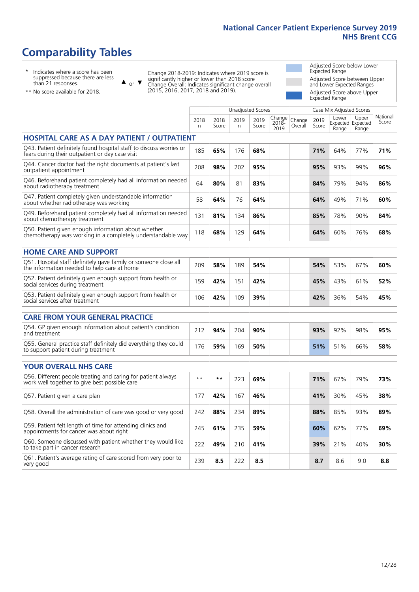Unadjusted Scores **Case Mix Adjusted Scores** 

### **Comparability Tables**

\* Indicates where a score has been suppressed because there are less than 21 responses.

 $\triangle$  or  $\nabla$ 

Change 2018-2019: Indicates where 2019 score is significantly higher or lower than 2018 score Change Overall: Indicates significant change overall (2015, 2016, 2017, 2018 and 2019).

Adjusted Score below Lower Expected Range Adjusted Score between Upper and Lower Expected Ranges Adjusted Score above Upper Expected Range

| ** No score available for 2018. |
|---------------------------------|
|                                 |
|                                 |

|                                                                                                                       | 2018<br>n | 2018<br>Score | 2019<br>n | 2019<br>Score | Change<br>$2018 -$<br>2019 | Change<br>Overall | 2019<br>Score | Lower<br>Range | Upper<br>Expected Expected<br>Range | National<br>Score |
|-----------------------------------------------------------------------------------------------------------------------|-----------|---------------|-----------|---------------|----------------------------|-------------------|---------------|----------------|-------------------------------------|-------------------|
| <b>HOSPITAL CARE AS A DAY PATIENT / OUTPATIENT</b>                                                                    |           |               |           |               |                            |                   |               |                |                                     |                   |
| Q43. Patient definitely found hospital staff to discuss worries or<br>fears during their outpatient or day case visit | 185       | 65%           | 176       | 68%           |                            |                   | 71%           | 64%            | 77%                                 | 71%               |
| Q44. Cancer doctor had the right documents at patient's last<br>outpatient appointment                                | 208       | 98%           | 202       | 95%           |                            |                   | 95%           | 93%            | 99%                                 | 96%               |
| Q46. Beforehand patient completely had all information needed<br>about radiotherapy treatment                         | 64        | 80%           | 81        | 83%           |                            |                   | 84%           | 79%            | 94%                                 | 86%               |
| Q47. Patient completely given understandable information<br>about whether radiotherapy was working                    | 58        | 64%           | 76        | 64%           |                            |                   | 64%           | 49%            | 71%                                 | 60%               |
| Q49. Beforehand patient completely had all information needed<br>about chemotherapy treatment                         | 131       | 81%           | 134       | 86%           |                            |                   | 85%           | 78%            | 90%                                 | 84%               |
| Q50. Patient given enough information about whether<br>chemotherapy was working in a completely understandable way    | 118       | 68%           | 129       | 64%           |                            |                   | 64%           | 60%            | 76%                                 | 68%               |
| <b>HOME CARE AND SUPPORT</b>                                                                                          |           |               |           |               |                            |                   |               |                |                                     |                   |
| Q51. Hospital staff definitely gave family or someone close all<br>the information needed to help care at home        | 209       | 58%           | 189       | 54%           |                            |                   | 54%           | 53%            | 67%                                 | 60%               |
| Q52. Patient definitely given enough support from health or<br>social services during treatment                       | 159       | 42%           | 151       | 42%           |                            |                   | 45%           | 43%            | 61%                                 | 52%               |
| Q53. Patient definitely given enough support from health or<br>social services after treatment                        | 106       | 42%           | 109       | 39%           |                            |                   | 42%           | 36%            | 54%                                 | 45%               |
| <b>CARE FROM YOUR GENERAL PRACTICE</b>                                                                                |           |               |           |               |                            |                   |               |                |                                     |                   |
| Q54. GP given enough information about patient's condition<br>and treatment                                           | 212       | 94%           | 204       | 90%           |                            |                   | 93%           | 92%            | 98%                                 | 95%               |
| Q55. General practice staff definitely did everything they could<br>to support patient during treatment               | 176       | 59%           | 169       | 50%           |                            |                   | 51%           | 51%            | 66%                                 | 58%               |
| <b>YOUR OVERALL NHS CARE</b>                                                                                          |           |               |           |               |                            |                   |               |                |                                     |                   |
| Q56. Different people treating and caring for patient always<br>work well together to give best possible care         | $**$      | **            | 223       | 69%           |                            |                   | 71%           | 67%            | 79%                                 | 73%               |
| Q57. Patient given a care plan                                                                                        | 177       | 42%           | 167       | 46%           |                            |                   | 41%           | 30%            | 45%                                 | 38%               |
| Q58. Overall the administration of care was good or very good                                                         | 242       | 88%           | 234       | 89%           |                            |                   | 88%           | 85%            | 93%                                 | 89%               |
| Q59. Patient felt length of time for attending clinics and<br>appointments for cancer was about right                 | 245       | 61%           | 235       | 59%           |                            |                   | 60%           | 62%            | 77%                                 | 69%               |
| Q60. Someone discussed with patient whether they would like<br>to take part in cancer research                        | 222       | 49%           | 210       | 41%           |                            |                   | 39%           | 21%            | 40%                                 | 30%               |
| Q61. Patient's average rating of care scored from very poor to<br>very good                                           | 239       | 8.5           | 222       | 8.5           |                            |                   | 8.7           | 8.6            | 9.0                                 | 8.8               |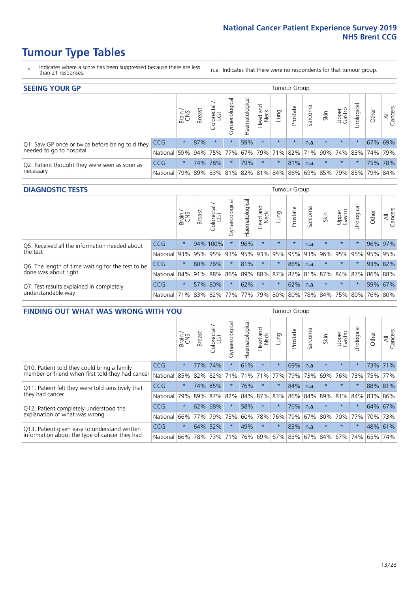- \* Indicates where a score has been suppressed because there are less than 21 responses.
- n.a. Indicates that there were no respondents for that tumour group.

| <b>SEEING YOUR GP</b>                                      |            |         |               |            |                    |                |                  |         | Tumour Group |         |         |                 |                                                           |         |                |
|------------------------------------------------------------|------------|---------|---------------|------------|--------------------|----------------|------------------|---------|--------------|---------|---------|-----------------|-----------------------------------------------------------|---------|----------------|
|                                                            |            | Brain   | <b>Breast</b> | Colorectal | ᠊ᢛ<br>Gynaecologic | Haematological | Head and<br>Neck | Lung    | Prostate     | Sarcoma | Skin    | Upper<br>Gastro | $\sigma$<br>Jrologica                                     | Other   | All<br>Cancers |
| Q1. Saw GP once or twice before being told they            | <b>CCG</b> | $\star$ | 87%           | $\star$    | $\star$            | 59%            | $\star$          | $\star$ | $\star$      | n.a.    | $\star$ | $\star$         |                                                           | 67% 69% |                |
| needed to go to hospital                                   | National   | 59%     |               |            | 94% 75% 77%        |                |                  |         |              |         |         |                 | 67%   79%   71%   82%   71%   90%   74%   83%   74%   79% |         |                |
| Q2. Patient thought they were seen as soon as<br>necessary | <b>CCG</b> | $\star$ |               | 74% 78%    | $\star$            | 79%            | $\star$          | $\star$ | 81%          | n.a.    | $\star$ | $\star$         | $\star$                                                   |         | 75% 78%        |
|                                                            | National   | 79%     |               | 89% 83%    |                    |                |                  |         |              |         |         |                 | 81%   82%   81%   84%   86%   69%   85%   79%   85%   79% |         | 84%            |

#### **DIAGNOSTIC TESTS** Tumour Group

|                                                                |              | Brain<br>CNS | <b>Breast</b> | Colorectal<br>LGT           | ᠊ᢛ<br>Gynaecologic | Haematological | Head and<br>Neck | Lung        | Prostate | Sarcoma | Skin    | Upper<br>Gastro | rological                                   | Other | All<br>Cancers |
|----------------------------------------------------------------|--------------|--------------|---------------|-----------------------------|--------------------|----------------|------------------|-------------|----------|---------|---------|-----------------|---------------------------------------------|-------|----------------|
| Q5. Received all the information needed about                  | <b>CCG</b>   | $\star$      |               | 94% 100%                    | $\star$            | 96%            | $\star$          | $\star$     | $\star$  | n.a.    |         | $\star$         | $\star$                                     |       | 96% 97%        |
| $\vert$ the test                                               | National     | 93%          | 95%           | 95%                         |                    | 93% 95%        |                  | 93% 95% 95% |          | 93%     | 96%     |                 | 95% 95%                                     |       | 95% 95%        |
| Q6. The length of time waiting for the test to be              | <b>CCG</b>   | $\star$      | 80%           | 76%                         | $\star$            | 81%            | $\star$          | $\star$     | 86%      | n.a.    | $\star$ | $\star$         | $\star$                                     |       | 93% 82%        |
| done was about right                                           | National     |              |               | 84% 91% 88%                 |                    |                |                  |             |          |         |         |                 | 86% 89% 88% 87% 87% 81% 87% 84% 87% 86% 88% |       |                |
| Q7. Test results explained in completely<br>understandable way | <b>CCG</b>   | $\star$      |               | 57% 80%                     | $\star$            | 62%            | $\star$          | $\star$     | 62%      | n.a.    | $\star$ | $\star$         | $\star$                                     |       | 59% 67%        |
|                                                                | National 71% |              |               | 83% 82% 77% 77% 79% 80% 80% |                    |                |                  |             |          |         |         |                 | 78% 84% 75% 80% 76% 80%                     |       |                |

| <b>FINDING OUT WHAT WAS WRONG WITH YOU</b>        |          |         |               |                       |                |               |                  |         | Tumour Group |         |         |                 |            |         |                |
|---------------------------------------------------|----------|---------|---------------|-----------------------|----------------|---------------|------------------|---------|--------------|---------|---------|-----------------|------------|---------|----------------|
|                                                   |          | Brain   | <b>Breast</b> | olorectal<br>LGT<br>Ū | Gynaecological | Haematologica | Head and<br>Neck | Lung    | Prostate     | Sarcoma | Skin    | Upper<br>Gastro | Irological | Other   | All<br>Cancers |
| Q10. Patient told they could bring a family       | CCG      | $\star$ | 77%           | 74%                   |                | 61%           | $\star$          | $\star$ | 69%          | n.a.    | $\star$ | $\star$         | $\star$    |         | 73% 71%        |
| member or friend when first told they had cancer  | National | 85%     | 82%           | 82%                   | 71%            | 71%           | 71%              | 77%     | 79%          | 73%     | 69%     | 76%             | 73%        | 75%     | 77%            |
| Q11. Patient felt they were told sensitively that | CCG      | $\star$ | 74%           | 85%                   |                | 76%           | $\star$          | $\star$ | 84%          | n.a.    | $\star$ | $\star$         | $\star$    | 88% 81% |                |
| they had cancer                                   | National | 79%     |               | 89% 87%               | 82%            |               | 84% 87%          | 83%     | 86%          | 84%     | 89%     | 81% 84%         |            | 83%     | 86%            |
| Q12. Patient completely understood the            | CCG      | $\star$ | 62%           | 68%                   |                | 58%           | $\star$          | $\star$ | 76%          | n.a.    | $\star$ | $\star$         | $\star$    |         | 64% 67%        |
| explanation of what was wrong                     | National | 66%     | 77%           | 79%                   | 73%            | 60%           | 78%              | 76%     | 79%          | 67%     | 80%     | 70%             | 77%        | 70%     | 73%            |
| Q13. Patient given easy to understand written     | CCG      | $\star$ | 64%           | 52%                   |                | 49%           | $\star$          | $\star$ | 83%          | n.a.    | $\star$ | $\star$         |            | 48% 61% |                |
| information about the type of cancer they had     | National | 66%     | 78%           | 73%                   | 71%            | 76%           | 69%              | 67% 83% |              | 67%     | 84%     | 67%             | 74%        | 65%     | 74%            |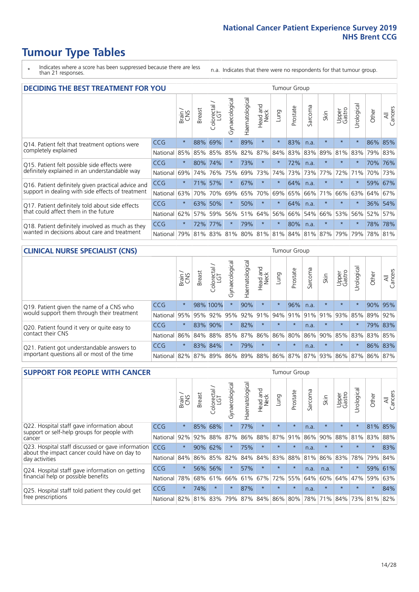- \* Indicates where a score has been suppressed because there are less than 21 responses.
- n.a. Indicates that there were no respondents for that tumour group.

| <b>DECIDING THE BEST TREATMENT FOR YOU</b>         |            |         |               |                             |                |                |                                 |          | Tumour Group |         |                                         |                 |            |         |                |
|----------------------------------------------------|------------|---------|---------------|-----------------------------|----------------|----------------|---------------------------------|----------|--------------|---------|-----------------------------------------|-----------------|------------|---------|----------------|
|                                                    |            | Brain   | <b>Breast</b> | olorectal.<br>LGT<br>$\cup$ | Gynaecological | Haematological | <b>Bad and<br/>Neck</b><br>Head | Lung     | Prostate     | Sarcoma | Skin                                    | Upper<br>Gastro | Urological | Other   | All<br>Cancers |
| Q14. Patient felt that treatment options were      | CCG        | $\star$ | 88%           | 69%                         | $\star$        | 89%            | $\star$                         | $\star$  | 83%          | n.a.    | $\star$                                 | $\star$         | $^\star$   |         | 86% 85%        |
| completely explained                               | National   | 85%     | 85%           | 85%                         | 85%            | 82%            | 87%                             | 84%      | 83%          | 83%     | 89%                                     | 81%             | 83%        |         | 79% 83%        |
| Q15. Patient felt possible side effects were       | CCG        | $\star$ | 80%           | 74%                         |                | 73%            | $\ast$                          | $^\star$ | 72%          | n.a.    | $\star$                                 | $\star$         | $\star$    | 70%     | 76%            |
| definitely explained in an understandable way      | National   | 69%     | 74%           | 76%                         | 75%            |                | 69% 73%                         | 74%      | 73%          | 73%     | 77%                                     | 72%             | 71%        | 70%     | 73%            |
| Q16. Patient definitely given practical advice and | CCG        | $\star$ | 71%           | 57%                         | $\star$        | 67%            | $\star$                         | $\star$  | 64%          | n.a.    |                                         | $\star$         |            | 59%     | 67%            |
| support in dealing with side effects of treatment  | National   | 63%     | 70%           | 70%                         | 69%            | 65%            | 70%                             | 69%      | 65%          | 66%     | 71%                                     | 66%             | 63%        | 64%     | 67%            |
| Q17. Patient definitely told about side effects    | <b>CCG</b> | $\star$ | 63%           | 50%                         | $\star$        | 50%            | $\star$                         | $\star$  | 64%          | n.a.    | $\star$                                 | $\star$         |            | 36%     | 54%            |
| that could affect them in the future               | National   | 62%     | 57%           | 59%                         | 56%            | 51%            | 64%                             | 56%      | 66%          | 54%     | 66%                                     | 53%             | 56%        | 52%     | 57%            |
| Q18. Patient definitely involved as much as they   | CCG        | $\star$ | 72%           | 77%                         | $\star$        | 79%            | $\star$                         | $\star$  | 80%          | n.a.    | $\star$                                 | $\star$         | $\star$    | 78%     | 78%            |
| wanted in decisions about care and treatment       | National   | 79%     |               |                             |                |                |                                 |          |              |         | 81% 83% 81% 80% 81% 81% 84% 81% 87% 79% |                 | 79%        | 78% 81% |                |

#### **CLINICAL NURSE SPECIALIST (CNS)** Tumour Group

|                                                                                           |                  | Brain<br>CNS | <b>Breast</b> | olorectal<br>LGT<br>Ü | ᢛ<br>aecologic<br>Ğ | ক<br>Haematologic | Head and<br>Neck                  | Lung    | Prostate | Sarcoma            | Skin    | Upper<br>Gastro | $\sigma$<br>rologica | Other | All<br>Cancers |
|-------------------------------------------------------------------------------------------|------------------|--------------|---------------|-----------------------|---------------------|-------------------|-----------------------------------|---------|----------|--------------------|---------|-----------------|----------------------|-------|----------------|
| Q19. Patient given the name of a CNS who                                                  | <b>CCG</b>       | $\star$      |               | 98% 100%              |                     | 90%               | $\star$                           | $\star$ | 96%      | n.a.               |         | $\star$         |                      |       | 90% 95%        |
| would support them through their treatment                                                | National         | 95%          | 95%           | 92%                   | 95%                 | 92%               | 91%                               |         |          | $ 94\% 91\% 91\% $ | 91%     | 93%             | 85%                  | 89%   | 92%            |
| Q20. Patient found it very or quite easy to                                               | CCG              | $\star$      |               | 83% 90%               |                     | 82%               | $\star$                           | $\star$ | $\star$  | n.a.               | $\star$ | $\star$         |                      |       | 79% 83%        |
| contact their CNS                                                                         | National         |              |               | 86% 84% 88%           | 85%                 | 87%               | 86%                               | 86% 80% |          |                    |         | 86% 90% 85%     | 83%                  | 83%   | 85%            |
| Q21. Patient got understandable answers to<br>important questions all or most of the time | CCG              | $\star$      |               | 83% 84%               |                     | 79%               | $\star$                           | $\star$ | $\star$  | n.a.               | $\star$ | $\star$         | $\star$              | 86%   | 83%            |
|                                                                                           | National 82% 87% |              |               | 89%                   | 86%                 |                   | 89%   88%   86%   87%   87%   93% |         |          |                    |         | 86%             | 87%                  | 86%   | 87%            |

| <b>SUPPORT FOR PEOPLE WITH CANCER</b>                                                             |            |         |               |                                  |                |                |                         |             | Tumour Group |         |         |                 |            |         |                |
|---------------------------------------------------------------------------------------------------|------------|---------|---------------|----------------------------------|----------------|----------------|-------------------------|-------------|--------------|---------|---------|-----------------|------------|---------|----------------|
|                                                                                                   |            | Brain   | <b>Breast</b> | ╮<br>blorectal.<br>LGT<br>$\cup$ | Gynaecological | Haematological | ead and<br>Neck<br>Head | <b>Dung</b> | Prostate     | Sarcoma | Skin    | Upper<br>Gastro | Urological | Other   | All<br>Cancers |
| Q22. Hospital staff gave information about<br>support or self-help groups for people with         | CCG        | $\star$ | 85%           | 68%                              | $\star$        | 77%            | $\star$                 | $\star$     | $\star$      | n.a.    | $\star$ | $\star$         | $\star$    | 81%     | 85%            |
| cancer                                                                                            | National   | 92%     | 92%           | 88%                              | 87%            | 86%            | 88%                     | 87%         | 91%          | 86%     | 90%     | 88%             | 81%        | 83%     | 88%            |
| Q23. Hospital staff discussed or gave information<br>about the impact cancer could have on day to | CCG        | $\star$ | 90%           | 62%                              | $\star$        | 75%            | $\star$                 | $\star$     | $\star$      | n.a.    | $\star$ | $\star$         | $\star$    | $\star$ | 83%            |
| day activities                                                                                    | National   | 84%     |               | 86% 85%                          | 82%            | 84%            | 84%                     | 83%         | 88%          | 81%     | 86%     | 83%             | 78%        | 79%     | 84%            |
| Q24. Hospital staff gave information on getting                                                   | <b>CCG</b> | $\star$ |               | 56% 56%                          | $\star$        | 57%            | $\star$                 | $\star$     | $\star$      | n.a.    | n.a.    | $\star$         | $\star$    | 59%     | 61%            |
| financial help or possible benefits                                                               | National   | 78%     | 68%           | 61%                              | 66%            | 61%            | 67%                     | 72%         | 55%          | 64%     | 60%     | 64%             | 47%        | 59%     | 63%            |
| Q25. Hospital staff told patient they could get                                                   | CCG        | $\star$ | 74%           | $\star$                          | $\star$        | 87%            | $\star$                 | $\star$     | $\star$      | n.a.    | $\star$ | $\star$         | $\star$    | $\star$ | 84%            |
| free prescriptions                                                                                | National   | 82%     | 81%           | 83%                              | 79%            | 87%            | 84%                     | 86%         | 80%          | 78%     | 71%     | 84%             | 73%        | 81%     | 82%            |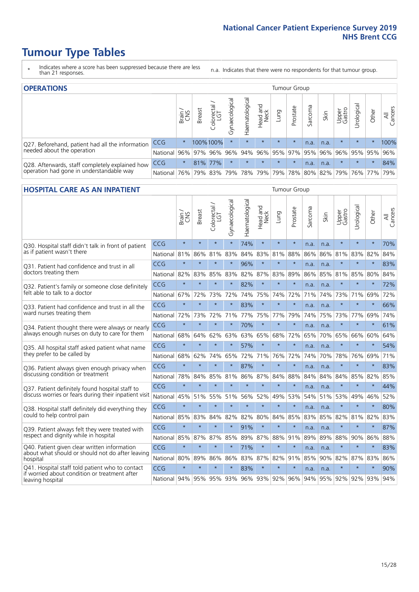- \* Indicates where a score has been suppressed because there are less than 21 responses.
- n.a. Indicates that there were no respondents for that tumour group.

| <b>OPERATIONS</b><br>Tumour Group                                                           |            |          |               |                       |                        |                |                                         |         |          |         |                                         |                 |            |         |                |
|---------------------------------------------------------------------------------------------|------------|----------|---------------|-----------------------|------------------------|----------------|-----------------------------------------|---------|----------|---------|-----------------------------------------|-----------------|------------|---------|----------------|
|                                                                                             |            | Brain    | <b>Breast</b> | olorectal<br>LGT<br>Ü | ᠊ᢛ<br>haecologic<br>δř | Haematological | Head and<br>Neck                        | Lung    | Prostate | Sarcoma | Skin                                    | Upper<br>Gastro | Urological | Other   | All<br>Cancers |
| Q27. Beforehand, patient had all the information                                            | CCG        | $\star$  |               | 100%100%              | $\star$                | $\star$        | $\star$                                 | $\star$ | $\star$  | n.a.    | n.a.                                    | $\star$         | $\star$    | $\star$ | 100%           |
| needed about the operation                                                                  | National   | 96%      |               | 97% 96%               |                        |                | 96% 94% 96% 95% 97% 95% 96% 96% 95% 95% |         |          |         |                                         |                 |            |         | 96%            |
| Q28. Afterwards, staff completely explained how<br>operation had gone in understandable way | <b>CCG</b> | $\star$  |               | 81% 77%               | $\star$                |                | $\star$                                 | $\star$ | $\star$  | n.a.    | n.a.                                    | $\star$         | $\star$    | $\ast$  | 84%            |
|                                                                                             | National   | $ 76\% $ |               | 79% 83%               |                        |                | 79%   78%   79%                         |         |          |         | 79%   78%   80%   82%   79%   76%   77% |                 |            |         | 79%            |

#### **HOSPITAL CARE AS AN INPATIENT** Tumour Group

|                                                                                                   |            | Brain   | <b>Breast</b> | Colorectal /<br>LGT | Gynaecological | Haematological | Head and<br><b>Neck</b> | Lung        | Prostate | Sarcoma | Skin | Upper<br>Gastro | Urological | Other   | Cancers<br>$\overline{\overline{z}}$ |
|---------------------------------------------------------------------------------------------------|------------|---------|---------------|---------------------|----------------|----------------|-------------------------|-------------|----------|---------|------|-----------------|------------|---------|--------------------------------------|
| Q30. Hospital staff didn't talk in front of patient                                               | CCG        | $\star$ | $\star$       | $\star$             | $\star$        | 74%            | $\star$                 | $\star$     | $\star$  | n.a.    | n.a. | $\star$         | $\star$    | $\star$ | 70%                                  |
| as if patient wasn't there                                                                        | National   | 81%     | 86%           | 81%                 | 83%            | 84%            | 83%                     | 81%         | 88%      | 86%     | 86%  | 81%             | 83%        | 82%     | 84%                                  |
| 031. Patient had confidence and trust in all<br>doctors treating them                             | CCG        | $\star$ | $\star$       | $\star$             | $\star$        | 96%            | $\star$                 | $\star$     | $\star$  | n.a.    | n.a. | $\star$         | $\star$    | $\star$ | 83%                                  |
|                                                                                                   | National   | 82%     | 83%           | 85%                 | 83%            | 82%            |                         | 87% 83%     | 89%      | 86%     | 85%  | 81%             | 85%        | 80%     | 84%                                  |
| Q32. Patient's family or someone close definitely                                                 | CCG        | $\star$ | $\star$       | $\star$             | $\star$        | 82%            | $\star$                 | $\star$     | $\star$  | n.a.    | n.a. |                 | $\star$    | $\star$ | 72%                                  |
| felt able to talk to a doctor                                                                     | National   | 67%     | 72%           | 73%                 | 72%            | 74%            |                         | 75% 74%     | 72%      | 71%     | 74%  | 73%             | 71%        | 69%     | 72%                                  |
| Q33. Patient had confidence and trust in all the                                                  | CCG        | $\star$ | $\star$       | $\star$             | $\star$        | 83%            | $\star$                 | $\star$     | $\star$  | n.a.    | n.a. | $\star$         | $\star$    | $\star$ | 66%                                  |
| ward nurses treating them                                                                         | National   | 72%     | 73%           | 72%                 | 71%            |                | 77% 75% 77%             |             | 79%      | 74%     | 75%  | 73%             | 77%        | 69%     | 74%                                  |
| Q34. Patient thought there were always or nearly<br>always enough nurses on duty to care for them | CCG        | $\star$ | $\star$       | $\star$             | $\star$        | 70%            | $\star$                 | $\star$     | $\star$  | n.a.    | n.a. | $\star$         | $\star$    | $\star$ | 61%                                  |
|                                                                                                   | National   | 68%     | 64%           | 62%                 | 63%            | 63%            |                         | 65% 68%     | 72%      | 65%     | 70%  | 65%             | 66%        | 60%     | 64%                                  |
| Q35. All hospital staff asked patient what name                                                   | CCG        | $\star$ | $\star$       | $\star$             | $\star$        | 57%            | $\star$                 | $\star$     | $\star$  | n.a.    | n.a. | $\star$         | $\star$    | $\star$ | 54%                                  |
| they prefer to be called by                                                                       | National   | 68%     | 62%           | 74%                 | 65%            | 72%            |                         | 71% 76%     | 72%      | 74%     | 70%  | 78%             | 76%        | 69%     | 71%                                  |
| Q36. Patient always given enough privacy when                                                     | CCG        | $\star$ | $\star$       | $\star$             | $\star$        | 87%            | $\star$                 | $\star$     | $\star$  | n.a.    | n.a. | $\star$         | $\star$    | $\star$ | 83%                                  |
| discussing condition or treatment                                                                 | National   | 78%     | 84%           | 85%                 | 81%            |                |                         | 86% 87% 84% | 88%      | 84%     | 84%  | 84%             | 85%        | 82%     | 85%                                  |
| Q37. Patient definitely found hospital staff to                                                   | <b>CCG</b> | $\star$ | $\star$       | $\star$             | $\star$        | $\star$        | $\star$                 | $\star$     | $\star$  | n.a.    | n.a. | $\star$         | $\star$    | $\star$ | 44%                                  |
| discuss worries or fears during their inpatient visit                                             | National   | 45%     | 51%           | 55%                 | 51%            | 56%            | 52%                     | 49%         | 53%      | 54%     | 51%  | 53%             | 49%        | 46%     | 52%                                  |
| Q38. Hospital staff definitely did everything they                                                | CCG        | $\star$ | $\star$       | $\star$             | $\star$        | $\star$        | $\star$                 | $\star$     | $\star$  | n.a.    | n.a. | $\star$         | $\star$    | $\star$ | 80%                                  |
| could to help control pain                                                                        | National   | 85%     | 83%           | 84%                 | 82%            | 82%            | 80%                     | 84%         | 85%      | 83%     | 85%  | 82%             | 81%        | 82%     | 83%                                  |
| Q39. Patient always felt they were treated with                                                   | CCG        | $\star$ | $\star$       | $\star$             | $\star$        | 91%            | $\star$                 | $\star$     | $\star$  | n.a.    | n.a. | $\star$         | $\star$    | $\star$ | 87%                                  |
| respect and dignity while in hospital                                                             | National   | 85%     | 87%           | 87%                 | 85%            |                |                         | 89% 87% 88% | 91%      | 89%     | 89%  | 88%             | 90%        | 86%     | 88%                                  |
| Q40. Patient given clear written information<br>about what should or should not do after leaving  | CCG        | $\star$ | $\star$       | $\star$             | $\star$        | 71%            | $\star$                 | $\star$     | $\star$  | n.a.    | n.a. |                 | $\star$    | $\star$ | 83%                                  |
| hospital                                                                                          | National   | 80%     | 89%           | 86%                 | 86%            | 83%            |                         | 87% 82%     | 91%      | 85%     | 90%  | 82%             | 87%        | 83%     | 86%                                  |
| Q41. Hospital staff told patient who to contact                                                   | CCG        | $\star$ | $\star$       | $\star$             |                | 83%            | $\star$                 | $\star$     | $\star$  | n.a.    | n.a. |                 | $\star$    | $\star$ | 90%                                  |
| if worried about condition or treatment after<br>leaving hospital                                 | National   | 94%     | 95%           | 95% 93%             |                |                |                         | 96% 93% 92% | 96%      | 94%     | 95%  | 92%             | 92%        | 93%     | 94%                                  |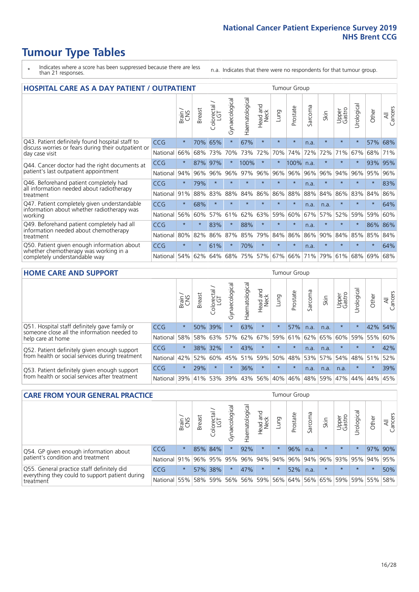- \* Indicates where a score has been suppressed because there are less than 21 responses.
- n.a. Indicates that there were no respondents for that tumour group.

| <b>HOSPITAL CARE AS A DAY PATIENT / OUTPATIENT</b>                                                                    | <b>Tumour Group</b> |         |               |            |                |                |                         |         |          |                               |         |                 |            |         |                |
|-----------------------------------------------------------------------------------------------------------------------|---------------------|---------|---------------|------------|----------------|----------------|-------------------------|---------|----------|-------------------------------|---------|-----------------|------------|---------|----------------|
|                                                                                                                       |                     | Brain   | <b>Breast</b> | Colorectal | Gynaecological | Haematological | ead and<br>Neck<br>Head | Lung    | Prostate | arcoma<br>$\overline{\Omega}$ | Skin    | Upper<br>Gastro | Urological | Other   | All<br>Cancers |
| Q43. Patient definitely found hospital staff to                                                                       | <b>CCG</b>          | $\star$ | 70%           | 65%        | $\star$        | 67%            | $\star$                 | $\star$ | $\star$  | n.a.                          | $\star$ | $\star$         | $\star$    | 57%     | 68%            |
| discuss worries or fears during their outpatient or<br>day case visit                                                 | National            | 66%     | 68%           | 73%        | 70%            | 73%            | 72%                     | 70%     | 74%      | 72%                           | 72%     | 71%             | 67%        | 68%     | 71%            |
| Q44. Cancer doctor had the right documents at<br>patient's last outpatient appointment                                | CCG                 | $\star$ | 87%           | 97%        | $\star$        | 100%           | $\star$                 | $\star$ | 100%     | n.a.                          | $\star$ | $\star$         | $^\star$   | 93%     | 95%            |
|                                                                                                                       | National            | 94%     | 96%           | 96%        | 96%            | 97%            | 96%                     | 96%     | 96%      | 96%                           | 96%     | 94%             | 96%        | 95%     | 96%            |
| Q46. Beforehand patient completely had<br>all information needed about radiotherapy                                   | <b>CCG</b>          | $\star$ | 79%           | $\star$    |                | $\star$        | $\star$                 | $\star$ | $\star$  | n.a.                          |         | $\star$         | $\star$    | $\star$ | 83%            |
| treatment                                                                                                             | National            | 91%     | 88%           | 83%        | 88%            | 84%            | 86%                     | 86%     | 88%      | 88%                           | 84%     | 86%             | 83%        | 84%     | 86%            |
| Q47. Patient completely given understandable<br>information about whether radiotherapy was                            | <b>CCG</b>          | $\star$ | 68%           | $\star$    | $\star$        | $\star$        | $\star$                 | $\star$ | $\star$  | n.a.                          | n.a.    | $\star$         | $\star$    | $\star$ | 64%            |
| working                                                                                                               | National            | 56%     | 60%           | 57%        | 61%            | 62%            | 63%                     | 59%     | 60%      | 67%                           | 57%     | 52%             | 59%        | 59%     | 60%            |
| Q49. Beforehand patient completely had all                                                                            | CCG                 | $\star$ | $\star$       | 83%        | $\star$        | 88%            | $\star$                 | $\star$ | $\star$  | n.a.                          | $\star$ | $\star$         | $\star$    | 86%     | 86%            |
| information needed about chemotherapy<br>treatment                                                                    | National            | 80%     | 82%           | 86%        | 87%            | 85%            | 79%                     | 84%     | 86%      | 86%                           | 90%     | 84%             | 85%        | 85%     | 84%            |
| Q50. Patient given enough information about<br>whether chemotherapy was working in a<br>completely understandable way | <b>CCG</b>          | $\star$ | $\star$       | 61%        | $\star$        | 70%            | $\star$                 | $\star$ | $\star$  | n.a.                          | $\star$ |                 |            | $\star$ | 64%            |
|                                                                                                                       | National            | 54%     | 62%           | 64%        | 68%            | 75%            |                         | 57% 67% | 66%      | 71%                           | 79%     | 61%             | 68%        | 69%     | 68%            |

#### **HOME CARE AND SUPPORT** Tumour Group

|                                                                                                                   |            | Brain   | <b>Breast</b> | iolorectal<br>LGT<br>$\cup$ | ᢛ<br>Gynaecologic | Haematological | ad and<br>Neck<br>Head | <b>Dung</b> | Prostate | Sarcoma | Skin    | Upper<br>Gastro | Urological | Other   | All<br>Cancers |
|-------------------------------------------------------------------------------------------------------------------|------------|---------|---------------|-----------------------------|-------------------|----------------|------------------------|-------------|----------|---------|---------|-----------------|------------|---------|----------------|
| Q51. Hospital staff definitely gave family or<br>someone close all the information needed to<br>help care at home | <b>CCG</b> | $\star$ | $50\%$        | 39%                         | $\star$           | 63%            | $\star$                | $\star$     | 57%      | n.a.    | n.a.    | $\star$         |            | 42%     | 54%            |
|                                                                                                                   | National   | 58%     | 58%           | 63%                         | 57%               | 62%            | 67%                    | 59%         | 61%      |         | 62% 65% | 60%             | 59%        | 55%     | 60%            |
| Q52. Patient definitely given enough support<br>from health or social services during treatment                   | <b>CCG</b> | $\star$ |               | 38% 32%                     | $\star$           | 43%            | $\star$                | $\star$     | $\star$  | n.a.    | n.a.    | $\star$         | $\star$    | $\star$ | 42%            |
|                                                                                                                   | National   | 42%     | 52%           | 60%                         |                   | 45% 51%        | 59%                    | 50%         | 48%      |         | 53% 57% | 54%             | 48% 51%    |         | 52%            |
| Q53. Patient definitely given enough support<br>from health or social services after treatment                    | <b>CCG</b> | $\star$ | 29%           |                             | $\star$           | 36%            | $\star$                | $\star$     | $\star$  | n.a.    | n.a.    | n.a.            | $\star$    | $\star$ | 39%            |
|                                                                                                                   | National   | 39%     |               | 41% 53%                     | 39%               | 43%            | 56%                    | 40%         | 46%      | 48%     | 59%     | 47%             | 44%        | 44%     | 45%            |

| <b>CARE FROM YOUR GENERAL PRACTICE</b>                                                                     |              |               |               |                   |                |                | Tumour Group                        |         |          |         |         |                 |            |         |                |
|------------------------------------------------------------------------------------------------------------|--------------|---------------|---------------|-------------------|----------------|----------------|-------------------------------------|---------|----------|---------|---------|-----------------|------------|---------|----------------|
|                                                                                                            |              | Brain.<br>CNS | <b>Breast</b> | Colorectal<br>LGT | Gynaecological | Haematological | Head and<br>Neck                    | Lung    | Prostate | Sarcoma | Skin    | Upper<br>Gastro | Urological | Other   | All<br>Cancers |
| Q54. GP given enough information about                                                                     | <b>CCG</b>   | $\star$       |               | 85% 84%           | $\star$        | 92%            | $\star$                             | $\star$ | 96%      | n.a.    | $\star$ | $\star$         | $\star$    | 97% 90% |                |
| patient's condition and treatment                                                                          | National 91% |               |               |                   | 96% 95% 95%    |                | 96% 94% 94% 96% 94% 96% 93% 95% 94% |         |          |         |         |                 |            |         | 95%            |
| Q55. General practice staff definitely did<br>everything they could to support patient during<br>treatment | <b>CCG</b>   | $\star$       |               | 57% 38%           | $\star$        | 47%            | $\star$                             | $\star$ | 52%      | n.a.    | $\star$ | $\star$         | $\star$    | $\star$ | 50%            |
|                                                                                                            | National 55% |               |               | 58% 59%           | 56%            |                | 56% 59%                             |         | 56% 64%  |         | 56% 65% | 59%             |            | 59% 55% | 58%            |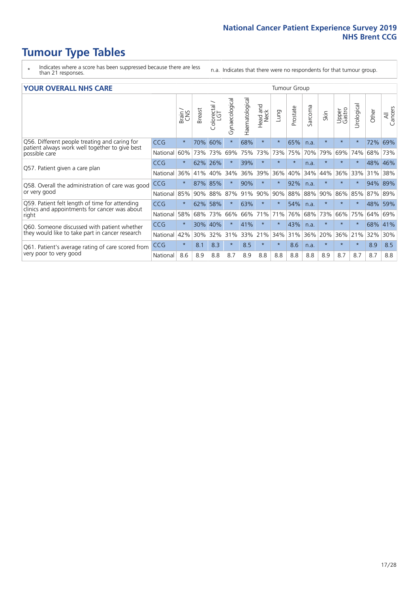- \* Indicates where a score has been suppressed because there are less than 21 responses.
- n.a. Indicates that there were no respondents for that tumour group.

#### **YOUR OVERALL NHS CARE** THE CONSTRUCTION OF THE THROUP GROUP TUMOUR GROUP

| он отыраны ні <i>р</i> сань |              |               |                       |                |                |                         |         |          |                          |          |                 |                                       |       |                                                |
|-----------------------------|--------------|---------------|-----------------------|----------------|----------------|-------------------------|---------|----------|--------------------------|----------|-----------------|---------------------------------------|-------|------------------------------------------------|
|                             | Brain<br>CNS | <b>Breast</b> | olorectal<br>LGT<br>U | Gynaecological | Haematological | aad and<br>Neck<br>Head | Lung    | Prostate | arcoma<br>$\overline{2}$ | Skin     | Upper<br>Gastro | $\overline{\mathfrak{G}}$<br>Urologia | Other | All<br>Cancers                                 |
| CCG                         | $\star$      | 70%           | 60%                   | $\star$        | 68%            | $\star$                 | $\star$ | 65%      | n.a.                     | $\star$  | $\star$         |                                       | 72%   | 69%                                            |
| National                    | 60%          |               | 73%                   | 69%            | 75%            | 73%                     | 73%     | 75%      | 70%                      | 79%      | 69%             | 74%                                   |       | 73%                                            |
| <b>CCG</b>                  | $\star$      | 62%           | 26%                   |                | 39%            | $\ast$                  | $\star$ | $\star$  | n.a.                     | $\star$  | $\star$         |                                       |       |                                                |
| National                    | 36%          | 41%           | 40%                   | 34%            | 36%            | 39%                     | 36%     | 40%      | 34%                      | 44%      | 36%             | 33%                                   | 31%   | 38%                                            |
| <b>CCG</b>                  | $^\star$     | 87%           | 85%                   |                | 90%            | $\star$                 | $\star$ | 92%      | n.a.                     | $\star$  | $\star$         |                                       |       | 89%                                            |
| National                    | 85%          | 90%           | 88%                   | 87%            | 91%            | 90%                     | 90%     |          | 88%                      | 90%      | 86%             | 85%                                   |       |                                                |
| CCG                         | $\star$      | 62%           | 58%                   | $\star$        | 63%            | $\star$                 | $\star$ | 54%      | n.a.                     | $\ast$   | $\star$         | $\star$                               |       | 59%                                            |
| National                    | 58%          | 68%           | 73%                   | 66%            | 66%            | 71%                     | 71%     | 76%      | 68%                      | 73%      | 66%             | 75%                                   | 64%   | 69%                                            |
| <b>CCG</b>                  | $\star$      | 30%           | 40%                   |                | 41%            | $\star$                 | $\star$ | 43%      | n.a.                     | $\star$  | $\star$         |                                       |       | 41%                                            |
| National                    | 42%          | 30%           | 32%                   | 31%            | 33%            |                         | 34%     |          | 36%                      | 20%      | 36%             | 21%                                   | 32%   | 30%                                            |
| CCG                         | $\star$      | 8.1           | 8.3                   | $\star$        | 8.5            | $\star$                 | $\star$ | 8.6      | n.a.                     | $^\star$ | $\star$         | $\star$                               | 8.9   | 8.5                                            |
| National                    | 8.6          | 8.9           | 8.8                   | 8.7            | 8.9            | 8.8                     | 8.8     | 8.8      | 8.8                      | 8.9      | 8.7             | 8.7                                   | 8.7   | 8.8                                            |
|                             |              |               |                       | 73%            |                |                         | 21%     |          | 88%<br>31%               |          |                 |                                       |       | 68%<br>48% 46%<br>94%<br>87% 89%<br>48%<br>68% |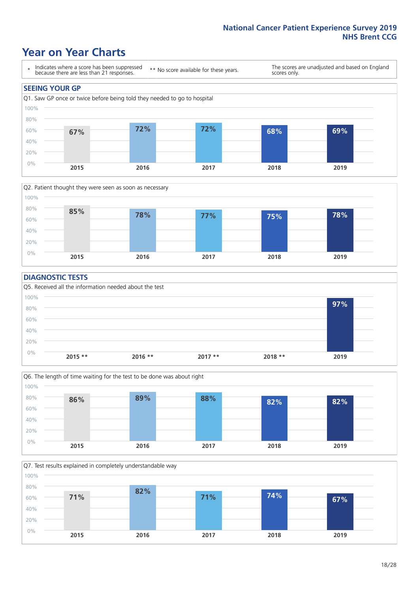### **Year on Year Charts**





#### **DIAGNOSTIC TESTS**





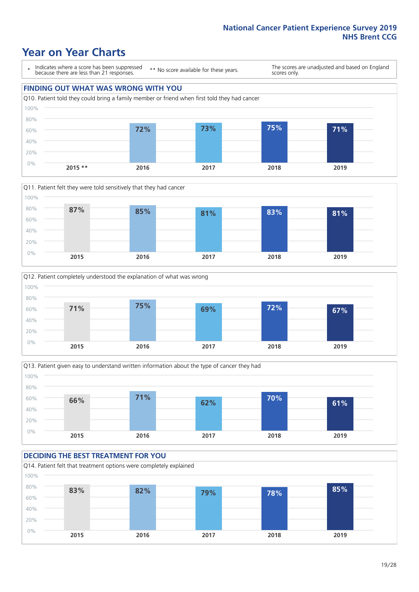### **Year on Year Charts**

\* Indicates where a score has been suppressed because there are less than 21 responses.

\*\* No score available for these years.

The scores are unadjusted and based on England scores only.









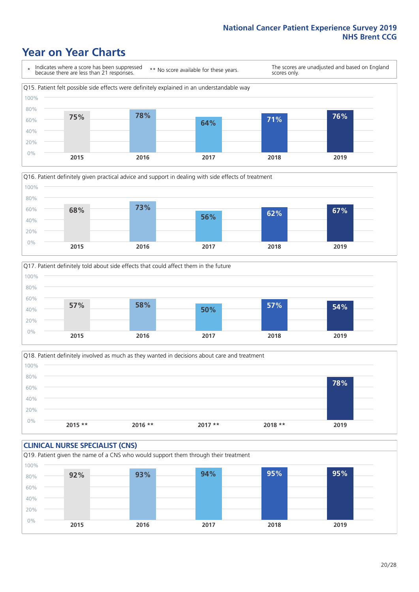### **Year on Year Charts**







Q18. Patient definitely involved as much as they wanted in decisions about care and treatment  $0%$ 20% 40% 60% 80% 100% **2015 \*\* 2016 \*\* 2017 \*\* 2018 \*\* 2019 78%**

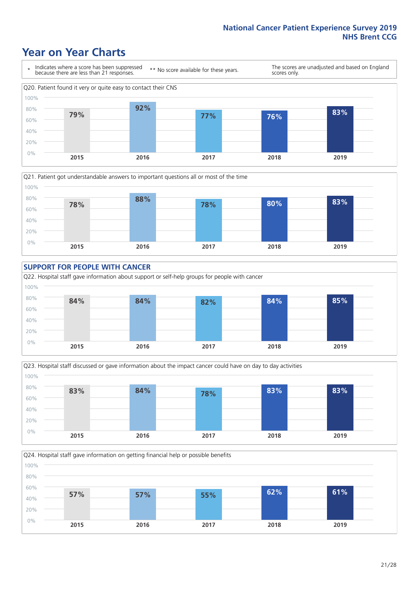### **Year on Year Charts**











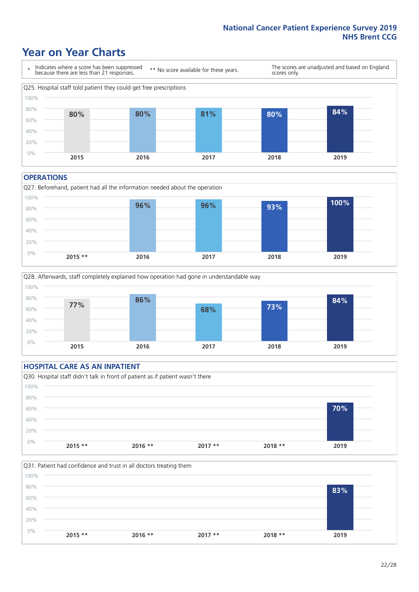### **Year on Year Charts**



#### **OPERATIONS**





#### **HOSPITAL CARE AS AN INPATIENT**



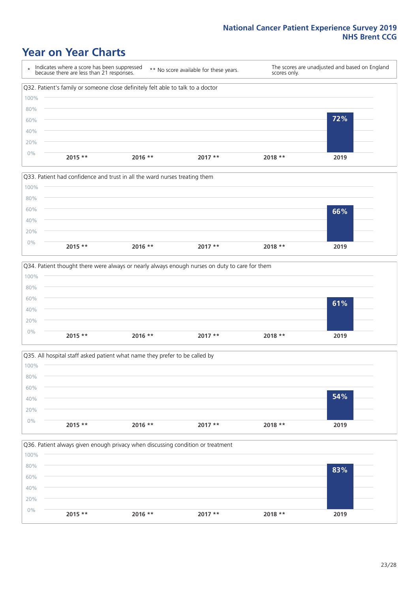### **Year on Year Charts**









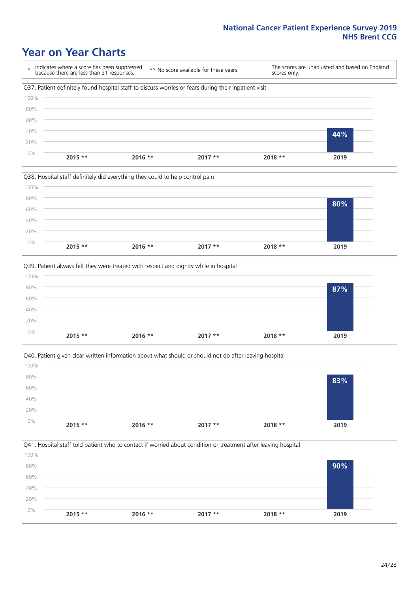### **Year on Year Charts**

\* Indicates where a score has been suppressed because there are less than 21 responses. \*\* No score available for these years. The scores are unadjusted and based on England scores only. Q37. Patient definitely found hospital staff to discuss worries or fears during their inpatient visit 0% 20% 40% 60% 80% 100% **2015 \*\* 2016 \*\* 2017 \*\* 2018 \*\* 2019 44%**







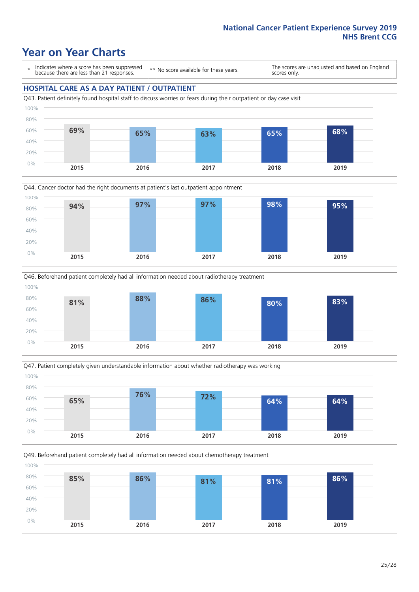### **Year on Year Charts**

\* Indicates where a score has been suppressed because there are less than 21 responses.

\*\* No score available for these years.

The scores are unadjusted and based on England scores only.

#### **HOSPITAL CARE AS A DAY PATIENT / OUTPATIENT**









Q49. Beforehand patient completely had all information needed about chemotherapy treatment 0% 20% 40% 60% 80% 100% **2015 2016 2017 2018 2019 85% 86% 81% 81% 86%**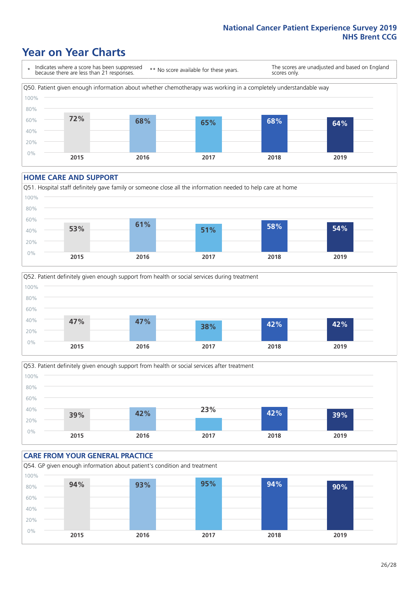### **Year on Year Charts**

\* Indicates where a score has been suppressed because there are less than 21 responses. \*\* No score available for these years. The scores are unadjusted and based on England scores only. Q50. Patient given enough information about whether chemotherapy was working in a completely understandable way 0% 20% 40% 60% 80% 100% **2015 2016 2017 2018 2019 72% 68% 65% 68% 64%**

#### **HOME CARE AND SUPPORT**







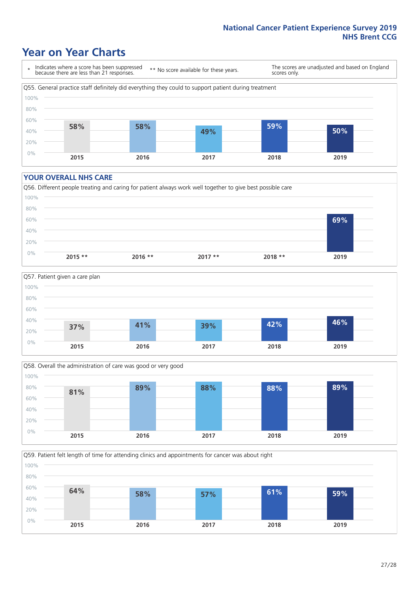### **Year on Year Charts**

\* Indicates where a score has been suppressed because there are less than 21 responses.

\*\* No score available for these years.

The scores are unadjusted and based on England scores only.



#### **YOUR OVERALL NHS CARE**







Q59. Patient felt length of time for attending clinics and appointments for cancer was about right